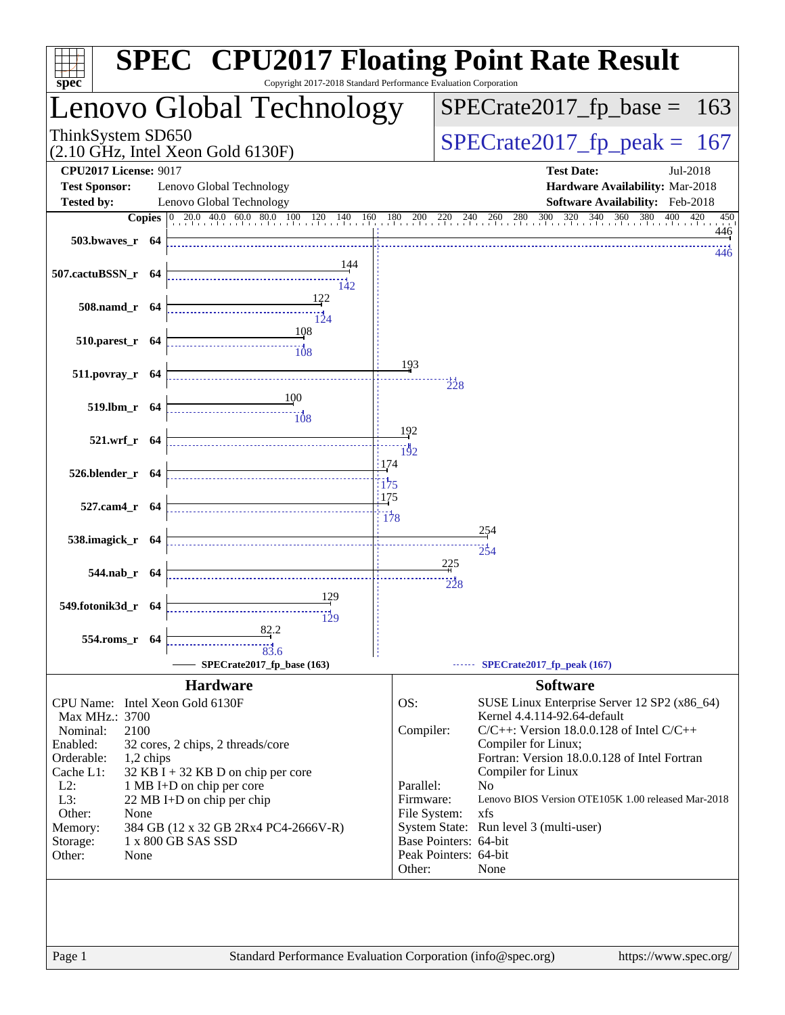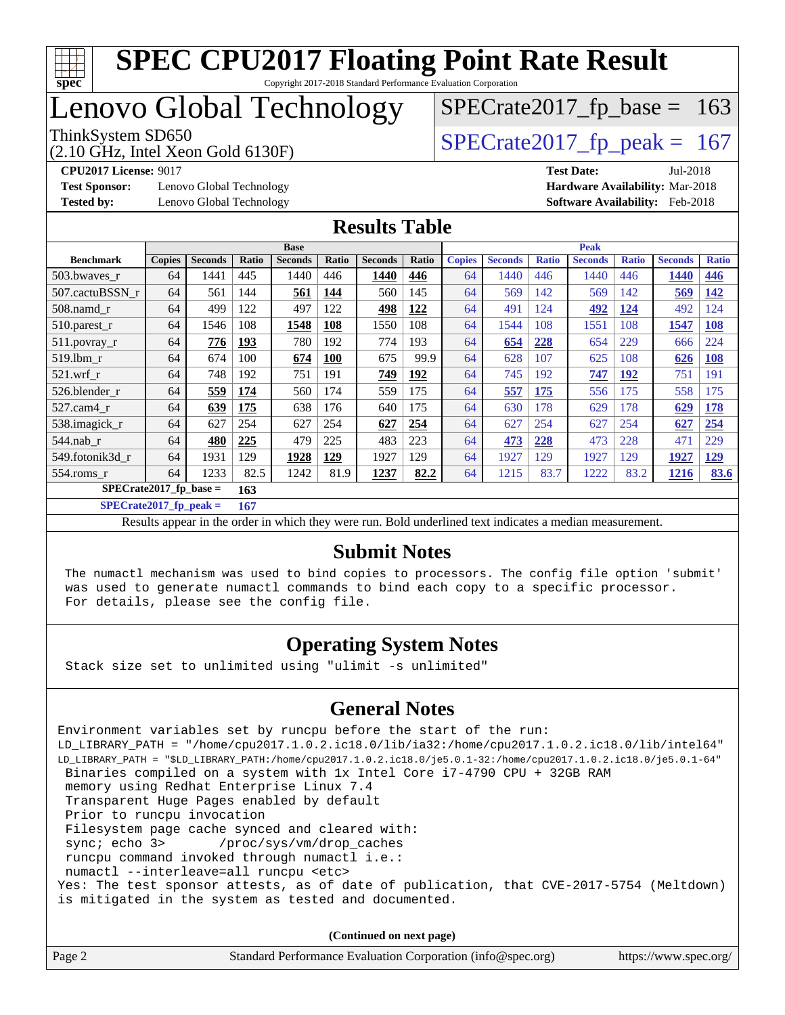

# Lenovo Global Technology

(2.10 GHz, Intel Xeon Gold 6130F)

ThinkSystem SD650<br>  $(2.10 \text{ GHz})$  Intel Xeon Gold 6130F)<br> [SPECrate2017\\_fp\\_peak =](http://www.spec.org/auto/cpu2017/Docs/result-fields.html#SPECrate2017fppeak) 167

 $SPECTate2017_fp\_base = 163$ 

**[Test Sponsor:](http://www.spec.org/auto/cpu2017/Docs/result-fields.html#TestSponsor)** Lenovo Global Technology **[Hardware Availability:](http://www.spec.org/auto/cpu2017/Docs/result-fields.html#HardwareAvailability)** Mar-2018 **[Tested by:](http://www.spec.org/auto/cpu2017/Docs/result-fields.html#Testedby)** Lenovo Global Technology **[Software Availability:](http://www.spec.org/auto/cpu2017/Docs/result-fields.html#SoftwareAvailability)** Feb-2018

**[CPU2017 License:](http://www.spec.org/auto/cpu2017/Docs/result-fields.html#CPU2017License)** 9017 **[Test Date:](http://www.spec.org/auto/cpu2017/Docs/result-fields.html#TestDate)** Jul-2018

#### **[Results Table](http://www.spec.org/auto/cpu2017/Docs/result-fields.html#ResultsTable)**

|                          | <b>Base</b>   |                |            |                |            |                | <b>Peak</b> |               |                |              |                |              |                |              |
|--------------------------|---------------|----------------|------------|----------------|------------|----------------|-------------|---------------|----------------|--------------|----------------|--------------|----------------|--------------|
| <b>Benchmark</b>         | <b>Copies</b> | <b>Seconds</b> | Ratio      | <b>Seconds</b> | Ratio      | <b>Seconds</b> | Ratio       | <b>Copies</b> | <b>Seconds</b> | <b>Ratio</b> | <b>Seconds</b> | <b>Ratio</b> | <b>Seconds</b> | <b>Ratio</b> |
| 503.bwayes_r             | 64            | 1441           | 445        | 1440           | 446        | 1440           | 446         | 64            | 1440           | 446          | 1440           | 446          | 1440           | 446          |
| 507.cactuBSSN r          | 64            | 561            | 144        | 561            | 144        | 560            | 145         | 64            | 569            | 142          | 569            | 142          | 569            | <b>142</b>   |
| $508$ .namd $r$          | 64            | 499            | 122        | 497            | 122        | 498            | 122         | 64            | 491            | 124          | 492            | 124          | 492            | 124          |
| $510.parest_r$           | 64            | 1546           | 108        | 1548           | 108        | 1550           | 108         | 64            | 1544           | 108          | 1551           | 108          | 1547           | <b>108</b>   |
| 511.povray_r             | 64            | 776            | <u>193</u> | 780            | 192        | 774            | 193         | 64            | 654            | 228          | 654            | 229          | 666            | 224          |
| $519$ .lbm $r$           | 64            | 674            | 100        | 674            | <b>100</b> | 675            | 99.9        | 64            | 628            | 107          | 625            | 108          | 626            | <b>108</b>   |
| $521$ .wrf r             | 64            | 748            | 192        | 751            | 191        | 749            | 192         | 64            | 745            | 192          | 747            | 192          | 751            | 191          |
| 526.blender r            | 64            | 559            | 174        | 560            | 174        | 559            | 175         | 64            | 557            | 175          | 556            | 175          | 558            | 175          |
| 527.cam4 r               | 64            | 639            | 175        | 638            | 176        | 640            | 175         | 64            | 630            | 178          | 629            | 178          | 629            | <b>178</b>   |
| 538.imagick_r            | 64            | 627            | 254        | 627            | 254        | 627            | 254         | 64            | 627            | 254          | 627            | 254          | 627            | 254          |
| $544$ .nab r             | 64            | 480            | 225        | 479            | 225        | 483            | 223         | 64            | 473            | 228          | 473            | 228          | 471            | 229          |
| 549.fotonik3d r          | 64            | 1931           | 129        | 1928           | <u>129</u> | 1927           | 129         | 64            | 1927           | 129          | 1927           | 129          | 1927           | <b>129</b>   |
| 554.roms_r               | 64            | 1233           | 82.5       | 1242           | 81.9       | 1237           | 82.2        | 64            | 1215           | 83.7         | 1222           | 83.2         | <b>1216</b>    | 83.6         |
| $SPECrate2017$ fp base = |               |                | 163        |                |            |                |             |               |                |              |                |              |                |              |

**[SPECrate2017\\_fp\\_peak =](http://www.spec.org/auto/cpu2017/Docs/result-fields.html#SPECrate2017fppeak) 167**

Results appear in the [order in which they were run.](http://www.spec.org/auto/cpu2017/Docs/result-fields.html#RunOrder) Bold underlined text [indicates a median measurement.](http://www.spec.org/auto/cpu2017/Docs/result-fields.html#Median)

#### **[Submit Notes](http://www.spec.org/auto/cpu2017/Docs/result-fields.html#SubmitNotes)**

 The numactl mechanism was used to bind copies to processors. The config file option 'submit' was used to generate numactl commands to bind each copy to a specific processor. For details, please see the config file.

### **[Operating System Notes](http://www.spec.org/auto/cpu2017/Docs/result-fields.html#OperatingSystemNotes)**

Stack size set to unlimited using "ulimit -s unlimited"

#### **[General Notes](http://www.spec.org/auto/cpu2017/Docs/result-fields.html#GeneralNotes)**

Environment variables set by runcpu before the start of the run: LD\_LIBRARY\_PATH = "/home/cpu2017.1.0.2.ic18.0/lib/ia32:/home/cpu2017.1.0.2.ic18.0/lib/intel64" LD\_LIBRARY\_PATH = "\$LD\_LIBRARY\_PATH:/home/cpu2017.1.0.2.ic18.0/je5.0.1-32:/home/cpu2017.1.0.2.ic18.0/je5.0.1-64" Binaries compiled on a system with 1x Intel Core i7-4790 CPU + 32GB RAM memory using Redhat Enterprise Linux 7.4 Transparent Huge Pages enabled by default Prior to runcpu invocation Filesystem page cache synced and cleared with: sync; echo 3> /proc/sys/vm/drop\_caches runcpu command invoked through numactl i.e.: numactl --interleave=all runcpu <etc> Yes: The test sponsor attests, as of date of publication, that CVE-2017-5754 (Meltdown) is mitigated in the system as tested and documented.

**(Continued on next page)**

| Page 2 | Standard Performance Evaluation Corporation (info@spec.org) | https://www.spec.org/ |
|--------|-------------------------------------------------------------|-----------------------|
|--------|-------------------------------------------------------------|-----------------------|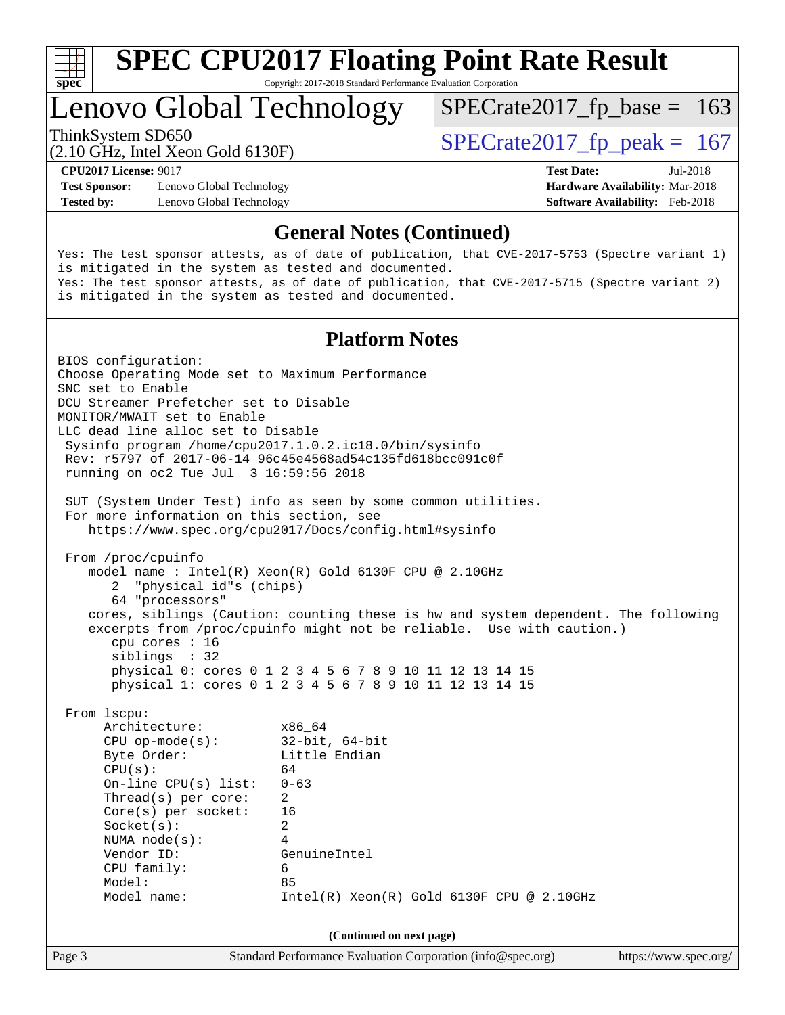

Copyright 2017-2018 Standard Performance Evaluation Corporation

# Lenovo Global Technology

ThinkSystem SD650<br>  $(2.10 \text{ GHz})$  Intel Yean Gold 6130F)<br>  $\text{SPECrate2017\_fp\_peak} = 167$ 

 $SPECTate2017_fp\_base = 163$ 

(2.10 GHz, Intel Xeon Gold 6130F)

**[Test Sponsor:](http://www.spec.org/auto/cpu2017/Docs/result-fields.html#TestSponsor)** Lenovo Global Technology **[Hardware Availability:](http://www.spec.org/auto/cpu2017/Docs/result-fields.html#HardwareAvailability)** Mar-2018 **[Tested by:](http://www.spec.org/auto/cpu2017/Docs/result-fields.html#Testedby)** Lenovo Global Technology **[Software Availability:](http://www.spec.org/auto/cpu2017/Docs/result-fields.html#SoftwareAvailability)** Feb-2018

**[CPU2017 License:](http://www.spec.org/auto/cpu2017/Docs/result-fields.html#CPU2017License)** 9017 **[Test Date:](http://www.spec.org/auto/cpu2017/Docs/result-fields.html#TestDate)** Jul-2018

#### **[General Notes \(Continued\)](http://www.spec.org/auto/cpu2017/Docs/result-fields.html#GeneralNotes)**

Yes: The test sponsor attests, as of date of publication, that CVE-2017-5753 (Spectre variant 1) is mitigated in the system as tested and documented. Yes: The test sponsor attests, as of date of publication, that CVE-2017-5715 (Spectre variant 2) is mitigated in the system as tested and documented.

#### **[Platform Notes](http://www.spec.org/auto/cpu2017/Docs/result-fields.html#PlatformNotes)**

Page 3 Standard Performance Evaluation Corporation [\(info@spec.org\)](mailto:info@spec.org) <https://www.spec.org/> BIOS configuration: Choose Operating Mode set to Maximum Performance SNC set to Enable DCU Streamer Prefetcher set to Disable MONITOR/MWAIT set to Enable LLC dead line alloc set to Disable Sysinfo program /home/cpu2017.1.0.2.ic18.0/bin/sysinfo Rev: r5797 of 2017-06-14 96c45e4568ad54c135fd618bcc091c0f running on oc2 Tue Jul 3 16:59:56 2018 SUT (System Under Test) info as seen by some common utilities. For more information on this section, see <https://www.spec.org/cpu2017/Docs/config.html#sysinfo> From /proc/cpuinfo model name : Intel(R) Xeon(R) Gold 6130F CPU @ 2.10GHz 2 "physical id"s (chips) 64 "processors" cores, siblings (Caution: counting these is hw and system dependent. The following excerpts from /proc/cpuinfo might not be reliable. Use with caution.) cpu cores : 16 siblings : 32 physical 0: cores 0 1 2 3 4 5 6 7 8 9 10 11 12 13 14 15 physical 1: cores 0 1 2 3 4 5 6 7 8 9 10 11 12 13 14 15 From lscpu: Architecture: x86\_64 CPU op-mode(s): 32-bit, 64-bit Byte Order: Little Endian  $CPU(s):$  64 On-line CPU(s) list: 0-63 Thread(s) per core: 2 Core(s) per socket: 16 Socket(s): 2 NUMA node(s): 4 Vendor ID: GenuineIntel CPU family: 6 Model: 85 Model name: Intel(R) Xeon(R) Gold 6130F CPU @ 2.10GHz **(Continued on next page)**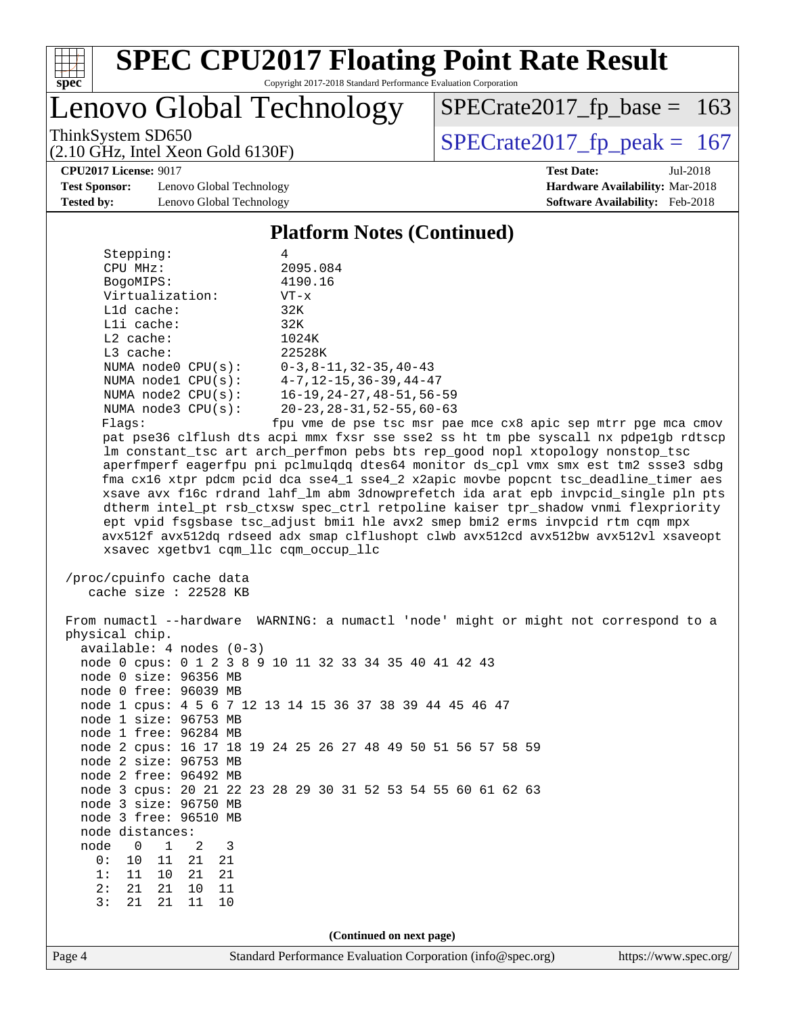

Copyright 2017-2018 Standard Performance Evaluation Corporation

# Lenovo Global Technology

ThinkSystem SD650<br>(2.10 GHz, Intel Xeon Gold 6130F)  $\begin{array}{|l|l|}\n\hline\n\end{array}$  [SPECrate2017\\_fp\\_peak =](http://www.spec.org/auto/cpu2017/Docs/result-fields.html#SPECrate2017fppeak) 167

 $SPECTate2017_fp\_base = 163$ 

**[Test Sponsor:](http://www.spec.org/auto/cpu2017/Docs/result-fields.html#TestSponsor)** Lenovo Global Technology **[Hardware Availability:](http://www.spec.org/auto/cpu2017/Docs/result-fields.html#HardwareAvailability)** Mar-2018 **[Tested by:](http://www.spec.org/auto/cpu2017/Docs/result-fields.html#Testedby)** Lenovo Global Technology **[Software Availability:](http://www.spec.org/auto/cpu2017/Docs/result-fields.html#SoftwareAvailability)** Feb-2018

(2.10 GHz, Intel Xeon Gold 6130F)

**[CPU2017 License:](http://www.spec.org/auto/cpu2017/Docs/result-fields.html#CPU2017License)** 9017 **[Test Date:](http://www.spec.org/auto/cpu2017/Docs/result-fields.html#TestDate)** Jul-2018

#### **[Platform Notes \(Continued\)](http://www.spec.org/auto/cpu2017/Docs/result-fields.html#PlatformNotes)** Stepping: 4 CPU MHz: 2095.084 BogoMIPS: 4190.16 Virtualization: VT-x L1d cache: 32K L1i cache: 32K

 L2 cache: 1024K L3 cache: 22528K NUMA node0 CPU(s): 0-3,8-11,32-35,40-43 NUMA node1 CPU(s): 4-7,12-15,36-39,44-47 NUMA node2 CPU(s): 16-19,24-27,48-51,56-59 NUMA node3 CPU(s): 20-23,28-31,52-55,60-63

Flags: fpu vme de pse tsc msr pae mce cx8 apic sep mtrr pge mca cmov pat pse36 clflush dts acpi mmx fxsr sse sse2 ss ht tm pbe syscall nx pdpe1gb rdtscp lm constant\_tsc art arch\_perfmon pebs bts rep\_good nopl xtopology nonstop\_tsc aperfmperf eagerfpu pni pclmulqdq dtes64 monitor ds\_cpl vmx smx est tm2 ssse3 sdbg fma cx16 xtpr pdcm pcid dca sse4\_1 sse4\_2 x2apic movbe popcnt tsc\_deadline\_timer aes xsave avx f16c rdrand lahf\_lm abm 3dnowprefetch ida arat epb invpcid\_single pln pts dtherm intel\_pt rsb\_ctxsw spec\_ctrl retpoline kaiser tpr\_shadow vnmi flexpriority ept vpid fsgsbase tsc\_adjust bmi1 hle avx2 smep bmi2 erms invpcid rtm cqm mpx avx512f avx512dq rdseed adx smap clflushopt clwb avx512cd avx512bw avx512vl xsaveopt xsavec xgetbv1 cqm\_llc cqm\_occup\_llc

 /proc/cpuinfo cache data cache size : 22528 KB

Page 4 Standard Performance Evaluation Corporation [\(info@spec.org\)](mailto:info@spec.org) <https://www.spec.org/> From numactl --hardware WARNING: a numactl 'node' might or might not correspond to a physical chip. available: 4 nodes (0-3) node 0 cpus: 0 1 2 3 8 9 10 11 32 33 34 35 40 41 42 43 node 0 size: 96356 MB node 0 free: 96039 MB node 1 cpus: 4 5 6 7 12 13 14 15 36 37 38 39 44 45 46 47 node 1 size: 96753 MB node 1 free: 96284 MB node 2 cpus: 16 17 18 19 24 25 26 27 48 49 50 51 56 57 58 59 node 2 size: 96753 MB node 2 free: 96492 MB node 3 cpus: 20 21 22 23 28 29 30 31 52 53 54 55 60 61 62 63 node 3 size: 96750 MB node 3 free: 96510 MB node distances: node 0 1 2 3 0: 10 11 21 21 1: 11 10 21 21 2: 21 21 10 11 3: 21 21 11 10 **(Continued on next page)**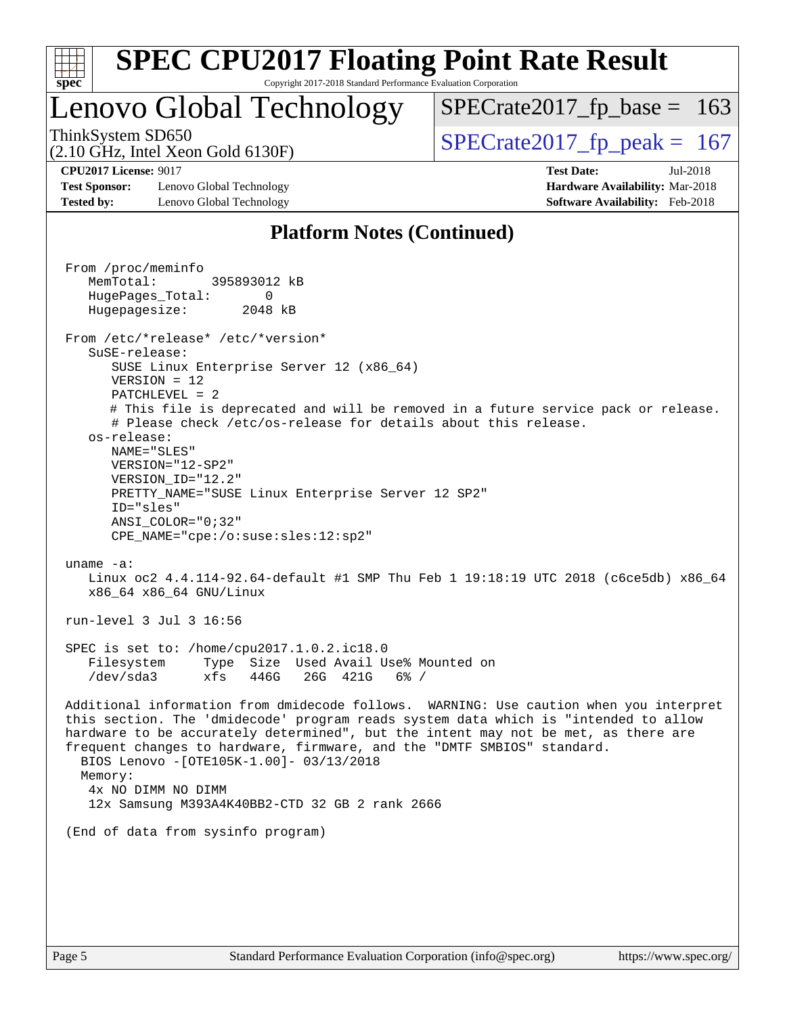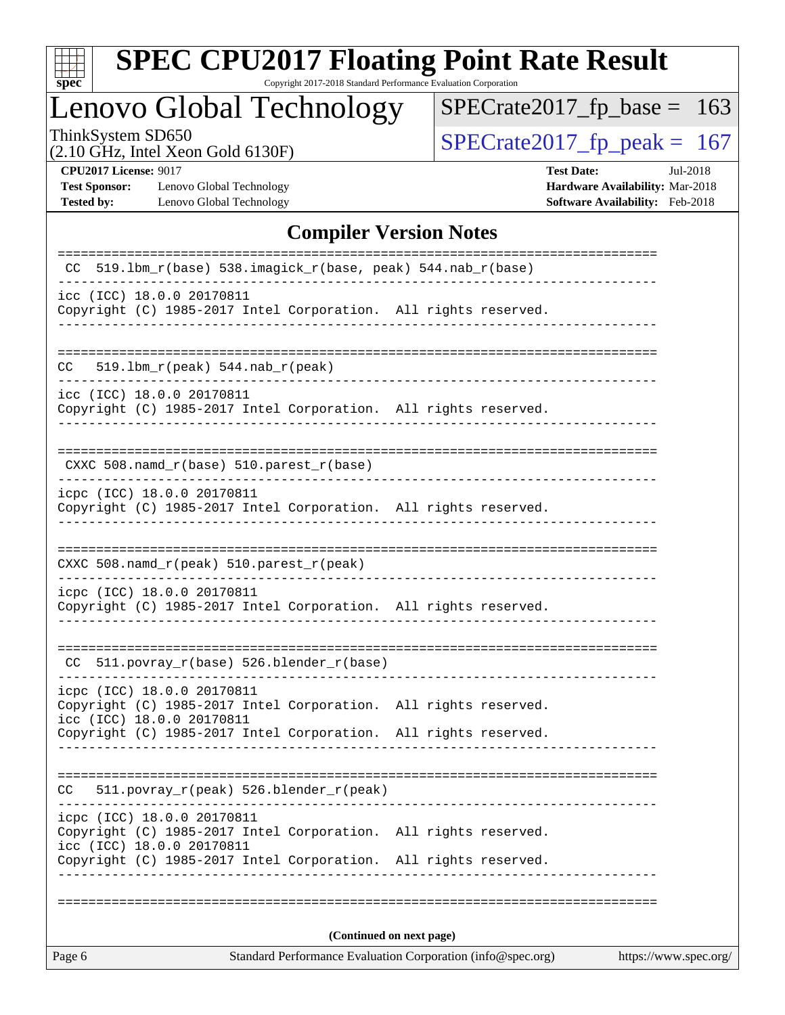

Copyright 2017-2018 Standard Performance Evaluation Corporation

# Lenovo Global Technology

ThinkSystem SD650<br>(2.10 GHz, Intel Xeon Gold 6130F) [SPECrate2017\\_fp\\_peak =](http://www.spec.org/auto/cpu2017/Docs/result-fields.html#SPECrate2017fppeak) 167

 $SPECTate2017_fp\_base = 163$ 

(2.10 GHz, Intel Xeon Gold 6130F)

**[CPU2017 License:](http://www.spec.org/auto/cpu2017/Docs/result-fields.html#CPU2017License)** 9017 **[Test Date:](http://www.spec.org/auto/cpu2017/Docs/result-fields.html#TestDate)** Jul-2018 **[Test Sponsor:](http://www.spec.org/auto/cpu2017/Docs/result-fields.html#TestSponsor)** Lenovo Global Technology **[Hardware Availability:](http://www.spec.org/auto/cpu2017/Docs/result-fields.html#HardwareAvailability)** Mar-2018 **[Tested by:](http://www.spec.org/auto/cpu2017/Docs/result-fields.html#Testedby)** Lenovo Global Technology **[Software Availability:](http://www.spec.org/auto/cpu2017/Docs/result-fields.html#SoftwareAvailability)** Feb-2018

### **[Compiler Version Notes](http://www.spec.org/auto/cpu2017/Docs/result-fields.html#CompilerVersionNotes)**

| (Continued on next page)                                                                                                                                                                         |  |
|--------------------------------------------------------------------------------------------------------------------------------------------------------------------------------------------------|--|
|                                                                                                                                                                                                  |  |
|                                                                                                                                                                                                  |  |
| icpc (ICC) 18.0.0 20170811<br>Copyright (C) 1985-2017 Intel Corporation. All rights reserved.<br>icc (ICC) 18.0.0 20170811<br>Copyright (C) 1985-2017 Intel Corporation.<br>All rights reserved. |  |
| 511.povray_r(peak) 526.blender_r(peak)<br>CC.                                                                                                                                                    |  |
| Copyright (C) 1985-2017 Intel Corporation. All rights reserved.                                                                                                                                  |  |
| icpc (ICC) 18.0.0 20170811<br>Copyright (C) 1985-2017 Intel Corporation. All rights reserved.<br>icc (ICC) 18.0.0 20170811                                                                       |  |
| $CC$ 511.povray $r(base)$ 526.blender $r(base)$                                                                                                                                                  |  |
| icpc (ICC) 18.0.0 20170811<br>Copyright (C) 1985-2017 Intel Corporation. All rights reserved.                                                                                                    |  |
| CXXC 508.namd_r(peak) 510.parest_r(peak)                                                                                                                                                         |  |
| icpc (ICC) 18.0.0 20170811<br>Copyright (C) 1985-2017 Intel Corporation. All rights reserved.                                                                                                    |  |
| CXXC $508.namd_r(base) 510.parest_r(base)$                                                                                                                                                       |  |
| icc (ICC) 18.0.0 20170811<br>Copyright (C) 1985-2017 Intel Corporation. All rights reserved.                                                                                                     |  |
| $519.1bm_r(peak) 544.nab_r(peak)$<br>CC.                                                                                                                                                         |  |
| icc (ICC) 18.0.0 20170811<br>Copyright (C) 1985-2017 Intel Corporation. All rights reserved.                                                                                                     |  |
| 519.1bm_r(base) 538.imagick_r(base, peak) 544.nab_r(base)<br>CC                                                                                                                                  |  |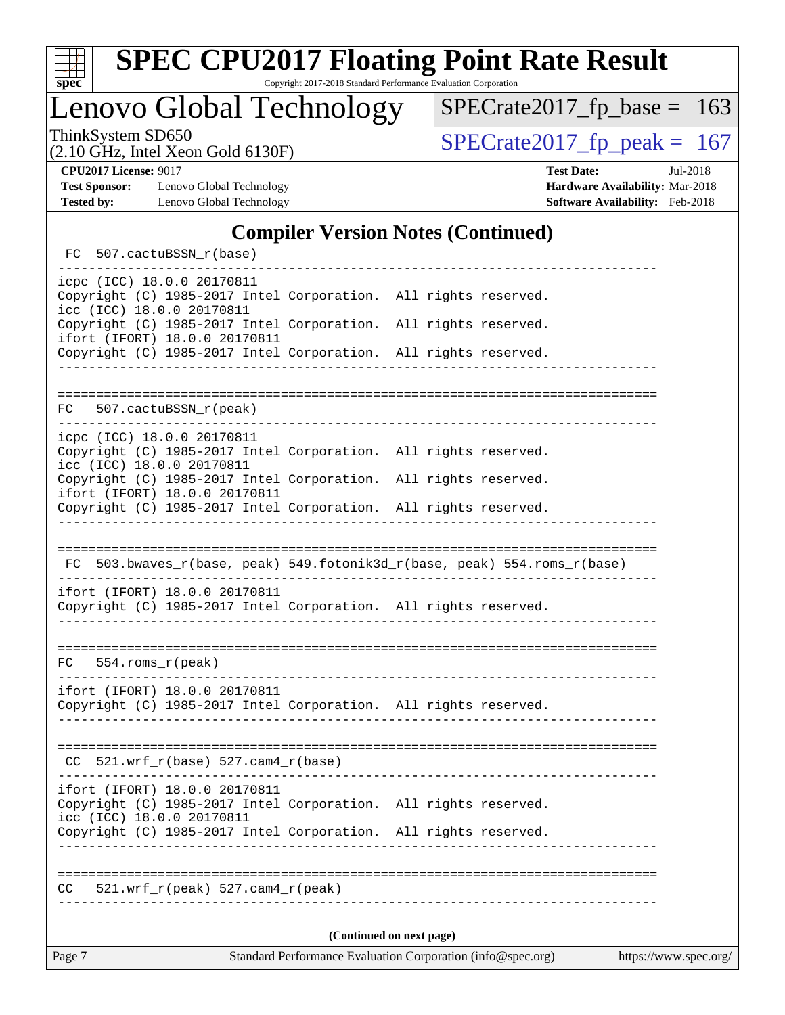

Copyright 2017-2018 Standard Performance Evaluation Corporation

Lenovo Global Technology

ThinkSystem SD650<br>  $(2.10 \text{ GHz})$  Intel Xeon Gold 6130F)<br> [SPECrate2017\\_fp\\_peak =](http://www.spec.org/auto/cpu2017/Docs/result-fields.html#SPECrate2017fppeak) 167

 $SPECTate2017_fp\_base = 163$ 

(2.10 GHz, Intel Xeon Gold 6130F)

**[Test Sponsor:](http://www.spec.org/auto/cpu2017/Docs/result-fields.html#TestSponsor)** Lenovo Global Technology **[Hardware Availability:](http://www.spec.org/auto/cpu2017/Docs/result-fields.html#HardwareAvailability)** Mar-2018 **[Tested by:](http://www.spec.org/auto/cpu2017/Docs/result-fields.html#Testedby)** Lenovo Global Technology **[Software Availability:](http://www.spec.org/auto/cpu2017/Docs/result-fields.html#SoftwareAvailability)** Feb-2018

**[CPU2017 License:](http://www.spec.org/auto/cpu2017/Docs/result-fields.html#CPU2017License)** 9017 **[Test Date:](http://www.spec.org/auto/cpu2017/Docs/result-fields.html#TestDate)** Jul-2018

### **[Compiler Version Notes \(Continued\)](http://www.spec.org/auto/cpu2017/Docs/result-fields.html#CompilerVersionNotes)**

| FC 507.cactuBSSN_r(base)                                                                                                      |                 |                                                                            |  |  |  |
|-------------------------------------------------------------------------------------------------------------------------------|-----------------|----------------------------------------------------------------------------|--|--|--|
| icpc (ICC) 18.0.0 20170811<br>Copyright (C) 1985-2017 Intel Corporation. All rights reserved.<br>icc (ICC) 18.0.0 20170811    |                 |                                                                            |  |  |  |
| Copyright (C) 1985-2017 Intel Corporation. All rights reserved.<br>ifort (IFORT) 18.0.0 20170811                              |                 |                                                                            |  |  |  |
| Copyright (C) 1985-2017 Intel Corporation. All rights reserved.                                                               |                 |                                                                            |  |  |  |
|                                                                                                                               |                 |                                                                            |  |  |  |
| 507.cactuBSSN_r(peak)<br>FC                                                                                                   |                 |                                                                            |  |  |  |
| icpc (ICC) 18.0.0 20170811<br>Copyright (C) 1985-2017 Intel Corporation. All rights reserved.<br>icc (ICC) 18.0.0 20170811    |                 |                                                                            |  |  |  |
| Copyright (C) 1985-2017 Intel Corporation. All rights reserved.<br>ifort (IFORT) 18.0.0 20170811                              |                 |                                                                            |  |  |  |
| Copyright (C) 1985-2017 Intel Corporation. All rights reserved.                                                               |                 |                                                                            |  |  |  |
|                                                                                                                               |                 |                                                                            |  |  |  |
|                                                                                                                               |                 | $FC$ 503.bwaves_r(base, peak) 549.fotonik3d_r(base, peak) 554.roms_r(base) |  |  |  |
| ifort (IFORT) 18.0.0 20170811<br>Copyright (C) 1985-2017 Intel Corporation. All rights reserved.                              |                 |                                                                            |  |  |  |
|                                                                                                                               |                 |                                                                            |  |  |  |
| $FC 554.rows_r (peak)$                                                                                                        |                 |                                                                            |  |  |  |
| ifort (IFORT) 18.0.0 20170811<br>Copyright (C) 1985-2017 Intel Corporation. All rights reserved.                              |                 |                                                                            |  |  |  |
|                                                                                                                               |                 |                                                                            |  |  |  |
| $CC$ 521.wrf_r(base) 527.cam4_r(base)                                                                                         |                 |                                                                            |  |  |  |
| ifort (IFORT) 18.0.0 20170811<br>Copyright (C) 1985-2017 Intel Corporation. All rights reserved.<br>icc (ICC) 18.0.0 20170811 |                 |                                                                            |  |  |  |
| Copyright (C) 1985-2017 Intel Corporation. All rights reserved.                                                               | _______________ |                                                                            |  |  |  |
| 521.wrf $r(\text{peak})$ 527.cam4 $r(\text{peak})$<br>CC.                                                                     |                 |                                                                            |  |  |  |
| (Continued on next page)                                                                                                      |                 |                                                                            |  |  |  |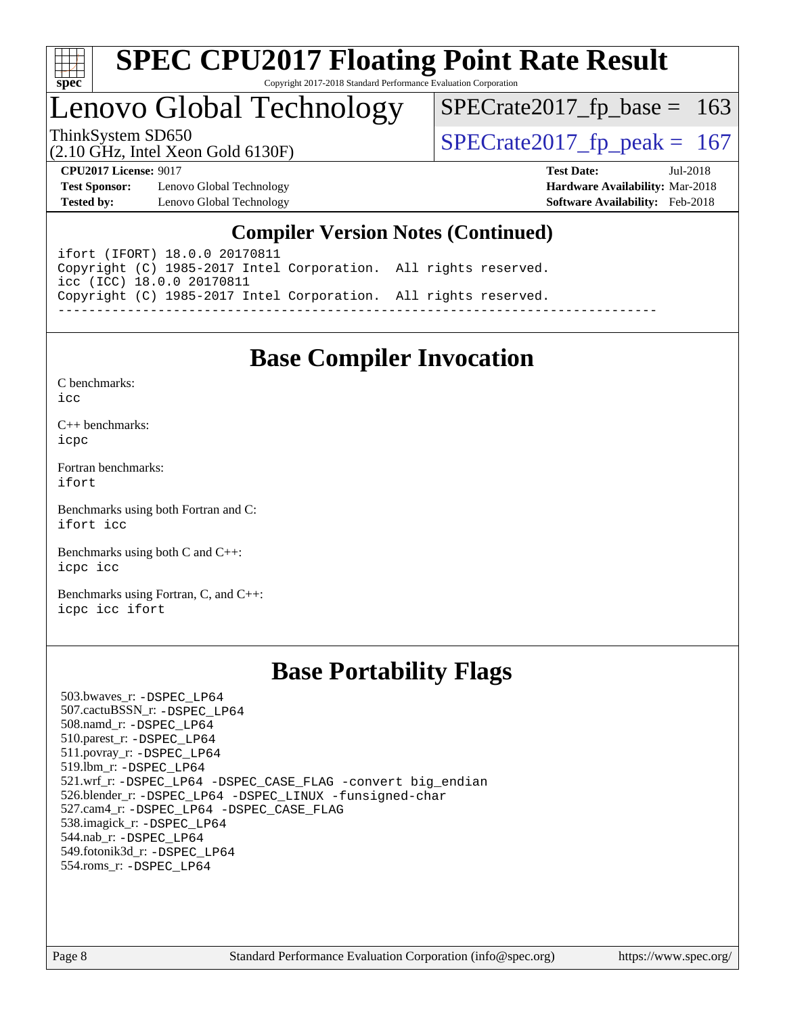

# Lenovo Global Technology

ThinkSystem SD650<br>(2.10 GHz, Intel Xeon Gold 6130F)  $\begin{array}{|l|l|}\n\hline\n\end{array}$  [SPECrate2017\\_fp\\_peak =](http://www.spec.org/auto/cpu2017/Docs/result-fields.html#SPECrate2017fppeak) 167

 $SPECTate2017_fp\_base = 163$ 

(2.10 GHz, Intel Xeon Gold 6130F)

**[CPU2017 License:](http://www.spec.org/auto/cpu2017/Docs/result-fields.html#CPU2017License)** 9017 **[Test Date:](http://www.spec.org/auto/cpu2017/Docs/result-fields.html#TestDate)** Jul-2018 **[Test Sponsor:](http://www.spec.org/auto/cpu2017/Docs/result-fields.html#TestSponsor)** Lenovo Global Technology **[Hardware Availability:](http://www.spec.org/auto/cpu2017/Docs/result-fields.html#HardwareAvailability)** Mar-2018

### **[Compiler Version Notes \(Continued\)](http://www.spec.org/auto/cpu2017/Docs/result-fields.html#CompilerVersionNotes)**

**[Tested by:](http://www.spec.org/auto/cpu2017/Docs/result-fields.html#Testedby)** Lenovo Global Technology **[Software Availability:](http://www.spec.org/auto/cpu2017/Docs/result-fields.html#SoftwareAvailability)** Feb-2018

ifort (IFORT) 18.0.0 20170811 Copyright (C) 1985-2017 Intel Corporation. All rights reserved. icc (ICC) 18.0.0 20170811 Copyright (C) 1985-2017 Intel Corporation. All rights reserved. ------------------------------------------------------------------------------

### **[Base Compiler Invocation](http://www.spec.org/auto/cpu2017/Docs/result-fields.html#BaseCompilerInvocation)**

[C benchmarks](http://www.spec.org/auto/cpu2017/Docs/result-fields.html#Cbenchmarks):  $i$ cc

[C++ benchmarks:](http://www.spec.org/auto/cpu2017/Docs/result-fields.html#CXXbenchmarks) [icpc](http://www.spec.org/cpu2017/results/res2018q3/cpu2017-20180709-07712.flags.html#user_CXXbase_intel_icpc_18.0_c510b6838c7f56d33e37e94d029a35b4a7bccf4766a728ee175e80a419847e808290a9b78be685c44ab727ea267ec2f070ec5dc83b407c0218cded6866a35d07)

[Fortran benchmarks](http://www.spec.org/auto/cpu2017/Docs/result-fields.html#Fortranbenchmarks): [ifort](http://www.spec.org/cpu2017/results/res2018q3/cpu2017-20180709-07712.flags.html#user_FCbase_intel_ifort_18.0_8111460550e3ca792625aed983ce982f94888b8b503583aa7ba2b8303487b4d8a21a13e7191a45c5fd58ff318f48f9492884d4413fa793fd88dd292cad7027ca)

[Benchmarks using both Fortran and C](http://www.spec.org/auto/cpu2017/Docs/result-fields.html#BenchmarksusingbothFortranandC): [ifort](http://www.spec.org/cpu2017/results/res2018q3/cpu2017-20180709-07712.flags.html#user_CC_FCbase_intel_ifort_18.0_8111460550e3ca792625aed983ce982f94888b8b503583aa7ba2b8303487b4d8a21a13e7191a45c5fd58ff318f48f9492884d4413fa793fd88dd292cad7027ca) [icc](http://www.spec.org/cpu2017/results/res2018q3/cpu2017-20180709-07712.flags.html#user_CC_FCbase_intel_icc_18.0_66fc1ee009f7361af1fbd72ca7dcefbb700085f36577c54f309893dd4ec40d12360134090235512931783d35fd58c0460139e722d5067c5574d8eaf2b3e37e92)

[Benchmarks using both C and C++](http://www.spec.org/auto/cpu2017/Docs/result-fields.html#BenchmarksusingbothCandCXX): [icpc](http://www.spec.org/cpu2017/results/res2018q3/cpu2017-20180709-07712.flags.html#user_CC_CXXbase_intel_icpc_18.0_c510b6838c7f56d33e37e94d029a35b4a7bccf4766a728ee175e80a419847e808290a9b78be685c44ab727ea267ec2f070ec5dc83b407c0218cded6866a35d07) [icc](http://www.spec.org/cpu2017/results/res2018q3/cpu2017-20180709-07712.flags.html#user_CC_CXXbase_intel_icc_18.0_66fc1ee009f7361af1fbd72ca7dcefbb700085f36577c54f309893dd4ec40d12360134090235512931783d35fd58c0460139e722d5067c5574d8eaf2b3e37e92)

[Benchmarks using Fortran, C, and C++:](http://www.spec.org/auto/cpu2017/Docs/result-fields.html#BenchmarksusingFortranCandCXX) [icpc](http://www.spec.org/cpu2017/results/res2018q3/cpu2017-20180709-07712.flags.html#user_CC_CXX_FCbase_intel_icpc_18.0_c510b6838c7f56d33e37e94d029a35b4a7bccf4766a728ee175e80a419847e808290a9b78be685c44ab727ea267ec2f070ec5dc83b407c0218cded6866a35d07) [icc](http://www.spec.org/cpu2017/results/res2018q3/cpu2017-20180709-07712.flags.html#user_CC_CXX_FCbase_intel_icc_18.0_66fc1ee009f7361af1fbd72ca7dcefbb700085f36577c54f309893dd4ec40d12360134090235512931783d35fd58c0460139e722d5067c5574d8eaf2b3e37e92) [ifort](http://www.spec.org/cpu2017/results/res2018q3/cpu2017-20180709-07712.flags.html#user_CC_CXX_FCbase_intel_ifort_18.0_8111460550e3ca792625aed983ce982f94888b8b503583aa7ba2b8303487b4d8a21a13e7191a45c5fd58ff318f48f9492884d4413fa793fd88dd292cad7027ca)

### **[Base Portability Flags](http://www.spec.org/auto/cpu2017/Docs/result-fields.html#BasePortabilityFlags)**

 503.bwaves\_r: [-DSPEC\\_LP64](http://www.spec.org/cpu2017/results/res2018q3/cpu2017-20180709-07712.flags.html#suite_basePORTABILITY503_bwaves_r_DSPEC_LP64) 507.cactuBSSN\_r: [-DSPEC\\_LP64](http://www.spec.org/cpu2017/results/res2018q3/cpu2017-20180709-07712.flags.html#suite_basePORTABILITY507_cactuBSSN_r_DSPEC_LP64) 508.namd\_r: [-DSPEC\\_LP64](http://www.spec.org/cpu2017/results/res2018q3/cpu2017-20180709-07712.flags.html#suite_basePORTABILITY508_namd_r_DSPEC_LP64) 510.parest\_r: [-DSPEC\\_LP64](http://www.spec.org/cpu2017/results/res2018q3/cpu2017-20180709-07712.flags.html#suite_basePORTABILITY510_parest_r_DSPEC_LP64) 511.povray\_r: [-DSPEC\\_LP64](http://www.spec.org/cpu2017/results/res2018q3/cpu2017-20180709-07712.flags.html#suite_basePORTABILITY511_povray_r_DSPEC_LP64) 519.lbm\_r: [-DSPEC\\_LP64](http://www.spec.org/cpu2017/results/res2018q3/cpu2017-20180709-07712.flags.html#suite_basePORTABILITY519_lbm_r_DSPEC_LP64) 521.wrf\_r: [-DSPEC\\_LP64](http://www.spec.org/cpu2017/results/res2018q3/cpu2017-20180709-07712.flags.html#suite_basePORTABILITY521_wrf_r_DSPEC_LP64) [-DSPEC\\_CASE\\_FLAG](http://www.spec.org/cpu2017/results/res2018q3/cpu2017-20180709-07712.flags.html#b521.wrf_r_baseCPORTABILITY_DSPEC_CASE_FLAG) [-convert big\\_endian](http://www.spec.org/cpu2017/results/res2018q3/cpu2017-20180709-07712.flags.html#user_baseFPORTABILITY521_wrf_r_convert_big_endian_c3194028bc08c63ac5d04de18c48ce6d347e4e562e8892b8bdbdc0214820426deb8554edfa529a3fb25a586e65a3d812c835984020483e7e73212c4d31a38223) 526.blender\_r: [-DSPEC\\_LP64](http://www.spec.org/cpu2017/results/res2018q3/cpu2017-20180709-07712.flags.html#suite_basePORTABILITY526_blender_r_DSPEC_LP64) [-DSPEC\\_LINUX](http://www.spec.org/cpu2017/results/res2018q3/cpu2017-20180709-07712.flags.html#b526.blender_r_baseCPORTABILITY_DSPEC_LINUX) [-funsigned-char](http://www.spec.org/cpu2017/results/res2018q3/cpu2017-20180709-07712.flags.html#user_baseCPORTABILITY526_blender_r_force_uchar_40c60f00ab013830e2dd6774aeded3ff59883ba5a1fc5fc14077f794d777847726e2a5858cbc7672e36e1b067e7e5c1d9a74f7176df07886a243d7cc18edfe67) 527.cam4\_r: [-DSPEC\\_LP64](http://www.spec.org/cpu2017/results/res2018q3/cpu2017-20180709-07712.flags.html#suite_basePORTABILITY527_cam4_r_DSPEC_LP64) [-DSPEC\\_CASE\\_FLAG](http://www.spec.org/cpu2017/results/res2018q3/cpu2017-20180709-07712.flags.html#b527.cam4_r_baseCPORTABILITY_DSPEC_CASE_FLAG) 538.imagick\_r: [-DSPEC\\_LP64](http://www.spec.org/cpu2017/results/res2018q3/cpu2017-20180709-07712.flags.html#suite_basePORTABILITY538_imagick_r_DSPEC_LP64) 544.nab\_r: [-DSPEC\\_LP64](http://www.spec.org/cpu2017/results/res2018q3/cpu2017-20180709-07712.flags.html#suite_basePORTABILITY544_nab_r_DSPEC_LP64) 549.fotonik3d\_r: [-DSPEC\\_LP64](http://www.spec.org/cpu2017/results/res2018q3/cpu2017-20180709-07712.flags.html#suite_basePORTABILITY549_fotonik3d_r_DSPEC_LP64) 554.roms\_r: [-DSPEC\\_LP64](http://www.spec.org/cpu2017/results/res2018q3/cpu2017-20180709-07712.flags.html#suite_basePORTABILITY554_roms_r_DSPEC_LP64)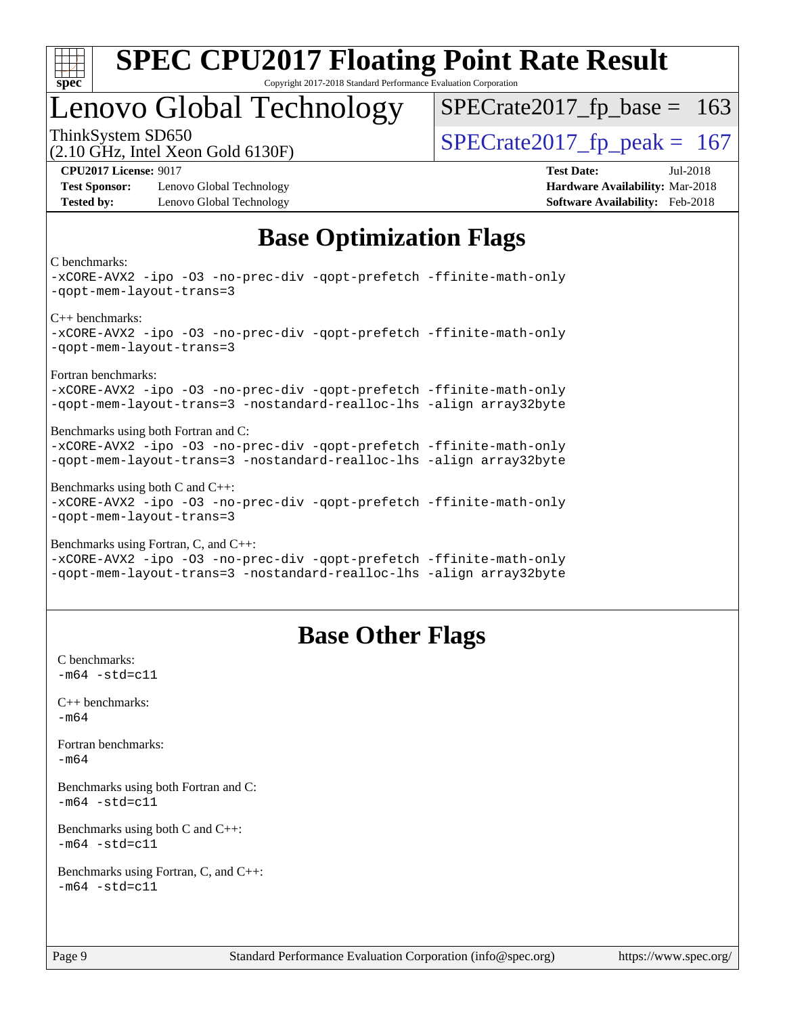

# Lenovo Global Technology

ThinkSystem SD650<br>  $\frac{10.047 \text{ J} \cdot \text{m/s}}{10.047 \text{ J} \cdot \text{m/s}}$  [SPECrate2017\\_fp\\_peak =](http://www.spec.org/auto/cpu2017/Docs/result-fields.html#SPECrate2017fppeak) 167

 $SPECTate2017_fp\_base = 163$ 

(2.10 GHz, Intel Xeon Gold 6130F)

**[Test Sponsor:](http://www.spec.org/auto/cpu2017/Docs/result-fields.html#TestSponsor)** Lenovo Global Technology **[Hardware Availability:](http://www.spec.org/auto/cpu2017/Docs/result-fields.html#HardwareAvailability)** Mar-2018 **[Tested by:](http://www.spec.org/auto/cpu2017/Docs/result-fields.html#Testedby)** Lenovo Global Technology **[Software Availability:](http://www.spec.org/auto/cpu2017/Docs/result-fields.html#SoftwareAvailability)** Feb-2018

**[CPU2017 License:](http://www.spec.org/auto/cpu2017/Docs/result-fields.html#CPU2017License)** 9017 **[Test Date:](http://www.spec.org/auto/cpu2017/Docs/result-fields.html#TestDate)** Jul-2018

# **[Base Optimization Flags](http://www.spec.org/auto/cpu2017/Docs/result-fields.html#BaseOptimizationFlags)**

[C benchmarks:](http://www.spec.org/auto/cpu2017/Docs/result-fields.html#Cbenchmarks)

[-xCORE-AVX2](http://www.spec.org/cpu2017/results/res2018q3/cpu2017-20180709-07712.flags.html#user_CCbase_f-xCORE-AVX2) [-ipo](http://www.spec.org/cpu2017/results/res2018q3/cpu2017-20180709-07712.flags.html#user_CCbase_f-ipo) [-O3](http://www.spec.org/cpu2017/results/res2018q3/cpu2017-20180709-07712.flags.html#user_CCbase_f-O3) [-no-prec-div](http://www.spec.org/cpu2017/results/res2018q3/cpu2017-20180709-07712.flags.html#user_CCbase_f-no-prec-div) [-qopt-prefetch](http://www.spec.org/cpu2017/results/res2018q3/cpu2017-20180709-07712.flags.html#user_CCbase_f-qopt-prefetch) [-ffinite-math-only](http://www.spec.org/cpu2017/results/res2018q3/cpu2017-20180709-07712.flags.html#user_CCbase_f_finite_math_only_cb91587bd2077682c4b38af759c288ed7c732db004271a9512da14a4f8007909a5f1427ecbf1a0fb78ff2a814402c6114ac565ca162485bbcae155b5e4258871) [-qopt-mem-layout-trans=3](http://www.spec.org/cpu2017/results/res2018q3/cpu2017-20180709-07712.flags.html#user_CCbase_f-qopt-mem-layout-trans_de80db37974c74b1f0e20d883f0b675c88c3b01e9d123adea9b28688d64333345fb62bc4a798493513fdb68f60282f9a726aa07f478b2f7113531aecce732043) [C++ benchmarks](http://www.spec.org/auto/cpu2017/Docs/result-fields.html#CXXbenchmarks): [-xCORE-AVX2](http://www.spec.org/cpu2017/results/res2018q3/cpu2017-20180709-07712.flags.html#user_CXXbase_f-xCORE-AVX2) [-ipo](http://www.spec.org/cpu2017/results/res2018q3/cpu2017-20180709-07712.flags.html#user_CXXbase_f-ipo) [-O3](http://www.spec.org/cpu2017/results/res2018q3/cpu2017-20180709-07712.flags.html#user_CXXbase_f-O3) [-no-prec-div](http://www.spec.org/cpu2017/results/res2018q3/cpu2017-20180709-07712.flags.html#user_CXXbase_f-no-prec-div) [-qopt-prefetch](http://www.spec.org/cpu2017/results/res2018q3/cpu2017-20180709-07712.flags.html#user_CXXbase_f-qopt-prefetch) [-ffinite-math-only](http://www.spec.org/cpu2017/results/res2018q3/cpu2017-20180709-07712.flags.html#user_CXXbase_f_finite_math_only_cb91587bd2077682c4b38af759c288ed7c732db004271a9512da14a4f8007909a5f1427ecbf1a0fb78ff2a814402c6114ac565ca162485bbcae155b5e4258871) [-qopt-mem-layout-trans=3](http://www.spec.org/cpu2017/results/res2018q3/cpu2017-20180709-07712.flags.html#user_CXXbase_f-qopt-mem-layout-trans_de80db37974c74b1f0e20d883f0b675c88c3b01e9d123adea9b28688d64333345fb62bc4a798493513fdb68f60282f9a726aa07f478b2f7113531aecce732043) [Fortran benchmarks:](http://www.spec.org/auto/cpu2017/Docs/result-fields.html#Fortranbenchmarks) [-xCORE-AVX2](http://www.spec.org/cpu2017/results/res2018q3/cpu2017-20180709-07712.flags.html#user_FCbase_f-xCORE-AVX2) [-ipo](http://www.spec.org/cpu2017/results/res2018q3/cpu2017-20180709-07712.flags.html#user_FCbase_f-ipo) [-O3](http://www.spec.org/cpu2017/results/res2018q3/cpu2017-20180709-07712.flags.html#user_FCbase_f-O3) [-no-prec-div](http://www.spec.org/cpu2017/results/res2018q3/cpu2017-20180709-07712.flags.html#user_FCbase_f-no-prec-div) [-qopt-prefetch](http://www.spec.org/cpu2017/results/res2018q3/cpu2017-20180709-07712.flags.html#user_FCbase_f-qopt-prefetch) [-ffinite-math-only](http://www.spec.org/cpu2017/results/res2018q3/cpu2017-20180709-07712.flags.html#user_FCbase_f_finite_math_only_cb91587bd2077682c4b38af759c288ed7c732db004271a9512da14a4f8007909a5f1427ecbf1a0fb78ff2a814402c6114ac565ca162485bbcae155b5e4258871) [-qopt-mem-layout-trans=3](http://www.spec.org/cpu2017/results/res2018q3/cpu2017-20180709-07712.flags.html#user_FCbase_f-qopt-mem-layout-trans_de80db37974c74b1f0e20d883f0b675c88c3b01e9d123adea9b28688d64333345fb62bc4a798493513fdb68f60282f9a726aa07f478b2f7113531aecce732043) [-nostandard-realloc-lhs](http://www.spec.org/cpu2017/results/res2018q3/cpu2017-20180709-07712.flags.html#user_FCbase_f_2003_std_realloc_82b4557e90729c0f113870c07e44d33d6f5a304b4f63d4c15d2d0f1fab99f5daaed73bdb9275d9ae411527f28b936061aa8b9c8f2d63842963b95c9dd6426b8a) [-align array32byte](http://www.spec.org/cpu2017/results/res2018q3/cpu2017-20180709-07712.flags.html#user_FCbase_align_array32byte_b982fe038af199962ba9a80c053b8342c548c85b40b8e86eb3cc33dee0d7986a4af373ac2d51c3f7cf710a18d62fdce2948f201cd044323541f22fc0fffc51b6) [Benchmarks using both Fortran and C:](http://www.spec.org/auto/cpu2017/Docs/result-fields.html#BenchmarksusingbothFortranandC) [-xCORE-AVX2](http://www.spec.org/cpu2017/results/res2018q3/cpu2017-20180709-07712.flags.html#user_CC_FCbase_f-xCORE-AVX2) [-ipo](http://www.spec.org/cpu2017/results/res2018q3/cpu2017-20180709-07712.flags.html#user_CC_FCbase_f-ipo) [-O3](http://www.spec.org/cpu2017/results/res2018q3/cpu2017-20180709-07712.flags.html#user_CC_FCbase_f-O3) [-no-prec-div](http://www.spec.org/cpu2017/results/res2018q3/cpu2017-20180709-07712.flags.html#user_CC_FCbase_f-no-prec-div) [-qopt-prefetch](http://www.spec.org/cpu2017/results/res2018q3/cpu2017-20180709-07712.flags.html#user_CC_FCbase_f-qopt-prefetch) [-ffinite-math-only](http://www.spec.org/cpu2017/results/res2018q3/cpu2017-20180709-07712.flags.html#user_CC_FCbase_f_finite_math_only_cb91587bd2077682c4b38af759c288ed7c732db004271a9512da14a4f8007909a5f1427ecbf1a0fb78ff2a814402c6114ac565ca162485bbcae155b5e4258871) [-qopt-mem-layout-trans=3](http://www.spec.org/cpu2017/results/res2018q3/cpu2017-20180709-07712.flags.html#user_CC_FCbase_f-qopt-mem-layout-trans_de80db37974c74b1f0e20d883f0b675c88c3b01e9d123adea9b28688d64333345fb62bc4a798493513fdb68f60282f9a726aa07f478b2f7113531aecce732043) [-nostandard-realloc-lhs](http://www.spec.org/cpu2017/results/res2018q3/cpu2017-20180709-07712.flags.html#user_CC_FCbase_f_2003_std_realloc_82b4557e90729c0f113870c07e44d33d6f5a304b4f63d4c15d2d0f1fab99f5daaed73bdb9275d9ae411527f28b936061aa8b9c8f2d63842963b95c9dd6426b8a) [-align array32byte](http://www.spec.org/cpu2017/results/res2018q3/cpu2017-20180709-07712.flags.html#user_CC_FCbase_align_array32byte_b982fe038af199962ba9a80c053b8342c548c85b40b8e86eb3cc33dee0d7986a4af373ac2d51c3f7cf710a18d62fdce2948f201cd044323541f22fc0fffc51b6) [Benchmarks using both C and C++](http://www.spec.org/auto/cpu2017/Docs/result-fields.html#BenchmarksusingbothCandCXX): [-xCORE-AVX2](http://www.spec.org/cpu2017/results/res2018q3/cpu2017-20180709-07712.flags.html#user_CC_CXXbase_f-xCORE-AVX2) [-ipo](http://www.spec.org/cpu2017/results/res2018q3/cpu2017-20180709-07712.flags.html#user_CC_CXXbase_f-ipo) [-O3](http://www.spec.org/cpu2017/results/res2018q3/cpu2017-20180709-07712.flags.html#user_CC_CXXbase_f-O3) [-no-prec-div](http://www.spec.org/cpu2017/results/res2018q3/cpu2017-20180709-07712.flags.html#user_CC_CXXbase_f-no-prec-div) [-qopt-prefetch](http://www.spec.org/cpu2017/results/res2018q3/cpu2017-20180709-07712.flags.html#user_CC_CXXbase_f-qopt-prefetch) [-ffinite-math-only](http://www.spec.org/cpu2017/results/res2018q3/cpu2017-20180709-07712.flags.html#user_CC_CXXbase_f_finite_math_only_cb91587bd2077682c4b38af759c288ed7c732db004271a9512da14a4f8007909a5f1427ecbf1a0fb78ff2a814402c6114ac565ca162485bbcae155b5e4258871) [-qopt-mem-layout-trans=3](http://www.spec.org/cpu2017/results/res2018q3/cpu2017-20180709-07712.flags.html#user_CC_CXXbase_f-qopt-mem-layout-trans_de80db37974c74b1f0e20d883f0b675c88c3b01e9d123adea9b28688d64333345fb62bc4a798493513fdb68f60282f9a726aa07f478b2f7113531aecce732043) [Benchmarks using Fortran, C, and C++](http://www.spec.org/auto/cpu2017/Docs/result-fields.html#BenchmarksusingFortranCandCXX): [-xCORE-AVX2](http://www.spec.org/cpu2017/results/res2018q3/cpu2017-20180709-07712.flags.html#user_CC_CXX_FCbase_f-xCORE-AVX2) [-ipo](http://www.spec.org/cpu2017/results/res2018q3/cpu2017-20180709-07712.flags.html#user_CC_CXX_FCbase_f-ipo) [-O3](http://www.spec.org/cpu2017/results/res2018q3/cpu2017-20180709-07712.flags.html#user_CC_CXX_FCbase_f-O3) [-no-prec-div](http://www.spec.org/cpu2017/results/res2018q3/cpu2017-20180709-07712.flags.html#user_CC_CXX_FCbase_f-no-prec-div) [-qopt-prefetch](http://www.spec.org/cpu2017/results/res2018q3/cpu2017-20180709-07712.flags.html#user_CC_CXX_FCbase_f-qopt-prefetch) [-ffinite-math-only](http://www.spec.org/cpu2017/results/res2018q3/cpu2017-20180709-07712.flags.html#user_CC_CXX_FCbase_f_finite_math_only_cb91587bd2077682c4b38af759c288ed7c732db004271a9512da14a4f8007909a5f1427ecbf1a0fb78ff2a814402c6114ac565ca162485bbcae155b5e4258871)

[-qopt-mem-layout-trans=3](http://www.spec.org/cpu2017/results/res2018q3/cpu2017-20180709-07712.flags.html#user_CC_CXX_FCbase_f-qopt-mem-layout-trans_de80db37974c74b1f0e20d883f0b675c88c3b01e9d123adea9b28688d64333345fb62bc4a798493513fdb68f60282f9a726aa07f478b2f7113531aecce732043) [-nostandard-realloc-lhs](http://www.spec.org/cpu2017/results/res2018q3/cpu2017-20180709-07712.flags.html#user_CC_CXX_FCbase_f_2003_std_realloc_82b4557e90729c0f113870c07e44d33d6f5a304b4f63d4c15d2d0f1fab99f5daaed73bdb9275d9ae411527f28b936061aa8b9c8f2d63842963b95c9dd6426b8a) [-align array32byte](http://www.spec.org/cpu2017/results/res2018q3/cpu2017-20180709-07712.flags.html#user_CC_CXX_FCbase_align_array32byte_b982fe038af199962ba9a80c053b8342c548c85b40b8e86eb3cc33dee0d7986a4af373ac2d51c3f7cf710a18d62fdce2948f201cd044323541f22fc0fffc51b6)

## **[Base Other Flags](http://www.spec.org/auto/cpu2017/Docs/result-fields.html#BaseOtherFlags)**

[C benchmarks](http://www.spec.org/auto/cpu2017/Docs/result-fields.html#Cbenchmarks):  $-m64 - std = c11$  $-m64 - std = c11$ [C++ benchmarks:](http://www.spec.org/auto/cpu2017/Docs/result-fields.html#CXXbenchmarks) [-m64](http://www.spec.org/cpu2017/results/res2018q3/cpu2017-20180709-07712.flags.html#user_CXXbase_intel_intel64_18.0_af43caccfc8ded86e7699f2159af6efc7655f51387b94da716254467f3c01020a5059329e2569e4053f409e7c9202a7efc638f7a6d1ffb3f52dea4a3e31d82ab) [Fortran benchmarks](http://www.spec.org/auto/cpu2017/Docs/result-fields.html#Fortranbenchmarks): [-m64](http://www.spec.org/cpu2017/results/res2018q3/cpu2017-20180709-07712.flags.html#user_FCbase_intel_intel64_18.0_af43caccfc8ded86e7699f2159af6efc7655f51387b94da716254467f3c01020a5059329e2569e4053f409e7c9202a7efc638f7a6d1ffb3f52dea4a3e31d82ab) [Benchmarks using both Fortran and C](http://www.spec.org/auto/cpu2017/Docs/result-fields.html#BenchmarksusingbothFortranandC):  $-m64$   $-std=cl1$ [Benchmarks using both C and C++](http://www.spec.org/auto/cpu2017/Docs/result-fields.html#BenchmarksusingbothCandCXX):  $-m64 - std= c11$  $-m64 - std= c11$ [Benchmarks using Fortran, C, and C++:](http://www.spec.org/auto/cpu2017/Docs/result-fields.html#BenchmarksusingFortranCandCXX)  $-m64 - std = c11$  $-m64 - std = c11$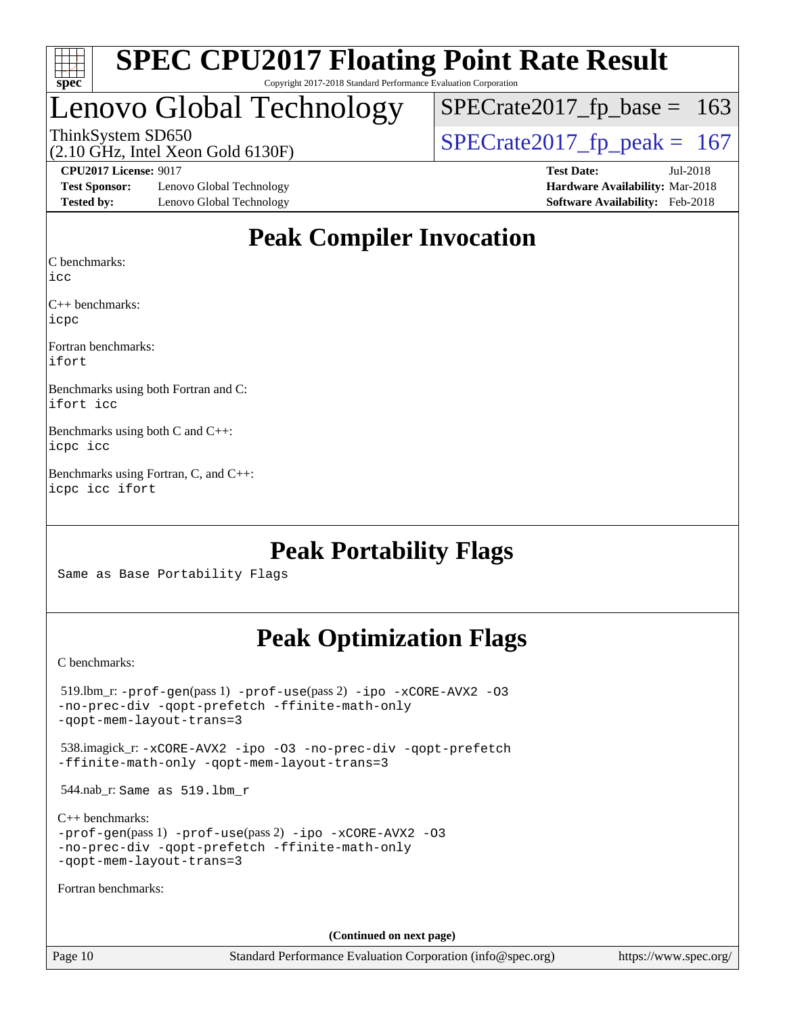| S<br>e<br>U<br>U |  |  |  |  |  |
|------------------|--|--|--|--|--|

# Lenovo Global Technology

ThinkSystem SD650<br>(2.10 GHz, Intel Xeon Gold 6130F)  $\begin{array}{|l|l|}\n\hline\n\end{array}$  [SPECrate2017\\_fp\\_peak =](http://www.spec.org/auto/cpu2017/Docs/result-fields.html#SPECrate2017fppeak) 167  $SPECTate2017_fp\_base = 163$ 

(2.10 GHz, Intel Xeon Gold 6130F)

**[Test Sponsor:](http://www.spec.org/auto/cpu2017/Docs/result-fields.html#TestSponsor)** Lenovo Global Technology **[Hardware Availability:](http://www.spec.org/auto/cpu2017/Docs/result-fields.html#HardwareAvailability)** Mar-2018 **[Tested by:](http://www.spec.org/auto/cpu2017/Docs/result-fields.html#Testedby)** Lenovo Global Technology **[Software Availability:](http://www.spec.org/auto/cpu2017/Docs/result-fields.html#SoftwareAvailability)** Feb-2018

**[CPU2017 License:](http://www.spec.org/auto/cpu2017/Docs/result-fields.html#CPU2017License)** 9017 **[Test Date:](http://www.spec.org/auto/cpu2017/Docs/result-fields.html#TestDate)** Jul-2018

# **[Peak Compiler Invocation](http://www.spec.org/auto/cpu2017/Docs/result-fields.html#PeakCompilerInvocation)**

[C benchmarks](http://www.spec.org/auto/cpu2017/Docs/result-fields.html#Cbenchmarks):

[icc](http://www.spec.org/cpu2017/results/res2018q3/cpu2017-20180709-07712.flags.html#user_CCpeak_intel_icc_18.0_66fc1ee009f7361af1fbd72ca7dcefbb700085f36577c54f309893dd4ec40d12360134090235512931783d35fd58c0460139e722d5067c5574d8eaf2b3e37e92)

[C++ benchmarks:](http://www.spec.org/auto/cpu2017/Docs/result-fields.html#CXXbenchmarks) [icpc](http://www.spec.org/cpu2017/results/res2018q3/cpu2017-20180709-07712.flags.html#user_CXXpeak_intel_icpc_18.0_c510b6838c7f56d33e37e94d029a35b4a7bccf4766a728ee175e80a419847e808290a9b78be685c44ab727ea267ec2f070ec5dc83b407c0218cded6866a35d07)

[Fortran benchmarks](http://www.spec.org/auto/cpu2017/Docs/result-fields.html#Fortranbenchmarks): [ifort](http://www.spec.org/cpu2017/results/res2018q3/cpu2017-20180709-07712.flags.html#user_FCpeak_intel_ifort_18.0_8111460550e3ca792625aed983ce982f94888b8b503583aa7ba2b8303487b4d8a21a13e7191a45c5fd58ff318f48f9492884d4413fa793fd88dd292cad7027ca)

[Benchmarks using both Fortran and C](http://www.spec.org/auto/cpu2017/Docs/result-fields.html#BenchmarksusingbothFortranandC): [ifort](http://www.spec.org/cpu2017/results/res2018q3/cpu2017-20180709-07712.flags.html#user_CC_FCpeak_intel_ifort_18.0_8111460550e3ca792625aed983ce982f94888b8b503583aa7ba2b8303487b4d8a21a13e7191a45c5fd58ff318f48f9492884d4413fa793fd88dd292cad7027ca) [icc](http://www.spec.org/cpu2017/results/res2018q3/cpu2017-20180709-07712.flags.html#user_CC_FCpeak_intel_icc_18.0_66fc1ee009f7361af1fbd72ca7dcefbb700085f36577c54f309893dd4ec40d12360134090235512931783d35fd58c0460139e722d5067c5574d8eaf2b3e37e92)

[Benchmarks using both C and C++:](http://www.spec.org/auto/cpu2017/Docs/result-fields.html#BenchmarksusingbothCandCXX) [icpc](http://www.spec.org/cpu2017/results/res2018q3/cpu2017-20180709-07712.flags.html#user_CC_CXXpeak_intel_icpc_18.0_c510b6838c7f56d33e37e94d029a35b4a7bccf4766a728ee175e80a419847e808290a9b78be685c44ab727ea267ec2f070ec5dc83b407c0218cded6866a35d07) [icc](http://www.spec.org/cpu2017/results/res2018q3/cpu2017-20180709-07712.flags.html#user_CC_CXXpeak_intel_icc_18.0_66fc1ee009f7361af1fbd72ca7dcefbb700085f36577c54f309893dd4ec40d12360134090235512931783d35fd58c0460139e722d5067c5574d8eaf2b3e37e92)

[Benchmarks using Fortran, C, and C++](http://www.spec.org/auto/cpu2017/Docs/result-fields.html#BenchmarksusingFortranCandCXX): [icpc](http://www.spec.org/cpu2017/results/res2018q3/cpu2017-20180709-07712.flags.html#user_CC_CXX_FCpeak_intel_icpc_18.0_c510b6838c7f56d33e37e94d029a35b4a7bccf4766a728ee175e80a419847e808290a9b78be685c44ab727ea267ec2f070ec5dc83b407c0218cded6866a35d07) [icc](http://www.spec.org/cpu2017/results/res2018q3/cpu2017-20180709-07712.flags.html#user_CC_CXX_FCpeak_intel_icc_18.0_66fc1ee009f7361af1fbd72ca7dcefbb700085f36577c54f309893dd4ec40d12360134090235512931783d35fd58c0460139e722d5067c5574d8eaf2b3e37e92) [ifort](http://www.spec.org/cpu2017/results/res2018q3/cpu2017-20180709-07712.flags.html#user_CC_CXX_FCpeak_intel_ifort_18.0_8111460550e3ca792625aed983ce982f94888b8b503583aa7ba2b8303487b4d8a21a13e7191a45c5fd58ff318f48f9492884d4413fa793fd88dd292cad7027ca)

## **[Peak Portability Flags](http://www.spec.org/auto/cpu2017/Docs/result-fields.html#PeakPortabilityFlags)**

Same as Base Portability Flags

## **[Peak Optimization Flags](http://www.spec.org/auto/cpu2017/Docs/result-fields.html#PeakOptimizationFlags)**

[C benchmarks](http://www.spec.org/auto/cpu2017/Docs/result-fields.html#Cbenchmarks):

 519.lbm\_r: [-prof-gen](http://www.spec.org/cpu2017/results/res2018q3/cpu2017-20180709-07712.flags.html#user_peakPASS1_CFLAGSPASS1_LDFLAGS519_lbm_r_prof_gen_5aa4926d6013ddb2a31985c654b3eb18169fc0c6952a63635c234f711e6e63dd76e94ad52365559451ec499a2cdb89e4dc58ba4c67ef54ca681ffbe1461d6b36)(pass 1) [-prof-use](http://www.spec.org/cpu2017/results/res2018q3/cpu2017-20180709-07712.flags.html#user_peakPASS2_CFLAGSPASS2_LDFLAGS519_lbm_r_prof_use_1a21ceae95f36a2b53c25747139a6c16ca95bd9def2a207b4f0849963b97e94f5260e30a0c64f4bb623698870e679ca08317ef8150905d41bd88c6f78df73f19)(pass 2) [-ipo](http://www.spec.org/cpu2017/results/res2018q3/cpu2017-20180709-07712.flags.html#user_peakPASS1_COPTIMIZEPASS2_COPTIMIZE519_lbm_r_f-ipo) [-xCORE-AVX2](http://www.spec.org/cpu2017/results/res2018q3/cpu2017-20180709-07712.flags.html#user_peakPASS2_COPTIMIZE519_lbm_r_f-xCORE-AVX2) [-O3](http://www.spec.org/cpu2017/results/res2018q3/cpu2017-20180709-07712.flags.html#user_peakPASS1_COPTIMIZEPASS2_COPTIMIZE519_lbm_r_f-O3) [-no-prec-div](http://www.spec.org/cpu2017/results/res2018q3/cpu2017-20180709-07712.flags.html#user_peakPASS1_COPTIMIZEPASS2_COPTIMIZE519_lbm_r_f-no-prec-div) [-qopt-prefetch](http://www.spec.org/cpu2017/results/res2018q3/cpu2017-20180709-07712.flags.html#user_peakPASS1_COPTIMIZEPASS2_COPTIMIZE519_lbm_r_f-qopt-prefetch) [-ffinite-math-only](http://www.spec.org/cpu2017/results/res2018q3/cpu2017-20180709-07712.flags.html#user_peakPASS1_COPTIMIZEPASS2_COPTIMIZE519_lbm_r_f_finite_math_only_cb91587bd2077682c4b38af759c288ed7c732db004271a9512da14a4f8007909a5f1427ecbf1a0fb78ff2a814402c6114ac565ca162485bbcae155b5e4258871) [-qopt-mem-layout-trans=3](http://www.spec.org/cpu2017/results/res2018q3/cpu2017-20180709-07712.flags.html#user_peakPASS1_COPTIMIZEPASS2_COPTIMIZE519_lbm_r_f-qopt-mem-layout-trans_de80db37974c74b1f0e20d883f0b675c88c3b01e9d123adea9b28688d64333345fb62bc4a798493513fdb68f60282f9a726aa07f478b2f7113531aecce732043) 538.imagick\_r: [-xCORE-AVX2](http://www.spec.org/cpu2017/results/res2018q3/cpu2017-20180709-07712.flags.html#user_peakCOPTIMIZE538_imagick_r_f-xCORE-AVX2) [-ipo](http://www.spec.org/cpu2017/results/res2018q3/cpu2017-20180709-07712.flags.html#user_peakCOPTIMIZE538_imagick_r_f-ipo) [-O3](http://www.spec.org/cpu2017/results/res2018q3/cpu2017-20180709-07712.flags.html#user_peakCOPTIMIZE538_imagick_r_f-O3) [-no-prec-div](http://www.spec.org/cpu2017/results/res2018q3/cpu2017-20180709-07712.flags.html#user_peakCOPTIMIZE538_imagick_r_f-no-prec-div) [-qopt-prefetch](http://www.spec.org/cpu2017/results/res2018q3/cpu2017-20180709-07712.flags.html#user_peakCOPTIMIZE538_imagick_r_f-qopt-prefetch) [-ffinite-math-only](http://www.spec.org/cpu2017/results/res2018q3/cpu2017-20180709-07712.flags.html#user_peakCOPTIMIZE538_imagick_r_f_finite_math_only_cb91587bd2077682c4b38af759c288ed7c732db004271a9512da14a4f8007909a5f1427ecbf1a0fb78ff2a814402c6114ac565ca162485bbcae155b5e4258871) [-qopt-mem-layout-trans=3](http://www.spec.org/cpu2017/results/res2018q3/cpu2017-20180709-07712.flags.html#user_peakCOPTIMIZE538_imagick_r_f-qopt-mem-layout-trans_de80db37974c74b1f0e20d883f0b675c88c3b01e9d123adea9b28688d64333345fb62bc4a798493513fdb68f60282f9a726aa07f478b2f7113531aecce732043) 544.nab\_r: Same as 519.lbm\_r [C++ benchmarks:](http://www.spec.org/auto/cpu2017/Docs/result-fields.html#CXXbenchmarks) [-prof-gen](http://www.spec.org/cpu2017/results/res2018q3/cpu2017-20180709-07712.flags.html#user_CXXpeak_prof_gen_5aa4926d6013ddb2a31985c654b3eb18169fc0c6952a63635c234f711e6e63dd76e94ad52365559451ec499a2cdb89e4dc58ba4c67ef54ca681ffbe1461d6b36)(pass 1) [-prof-use](http://www.spec.org/cpu2017/results/res2018q3/cpu2017-20180709-07712.flags.html#user_CXXpeak_prof_use_1a21ceae95f36a2b53c25747139a6c16ca95bd9def2a207b4f0849963b97e94f5260e30a0c64f4bb623698870e679ca08317ef8150905d41bd88c6f78df73f19)(pass 2) [-ipo](http://www.spec.org/cpu2017/results/res2018q3/cpu2017-20180709-07712.flags.html#user_CXXpeak_f-ipo) [-xCORE-AVX2](http://www.spec.org/cpu2017/results/res2018q3/cpu2017-20180709-07712.flags.html#user_CXXpeak_f-xCORE-AVX2) [-O3](http://www.spec.org/cpu2017/results/res2018q3/cpu2017-20180709-07712.flags.html#user_CXXpeak_f-O3) [-no-prec-div](http://www.spec.org/cpu2017/results/res2018q3/cpu2017-20180709-07712.flags.html#user_CXXpeak_f-no-prec-div) [-qopt-prefetch](http://www.spec.org/cpu2017/results/res2018q3/cpu2017-20180709-07712.flags.html#user_CXXpeak_f-qopt-prefetch) [-ffinite-math-only](http://www.spec.org/cpu2017/results/res2018q3/cpu2017-20180709-07712.flags.html#user_CXXpeak_f_finite_math_only_cb91587bd2077682c4b38af759c288ed7c732db004271a9512da14a4f8007909a5f1427ecbf1a0fb78ff2a814402c6114ac565ca162485bbcae155b5e4258871) [-qopt-mem-layout-trans=3](http://www.spec.org/cpu2017/results/res2018q3/cpu2017-20180709-07712.flags.html#user_CXXpeak_f-qopt-mem-layout-trans_de80db37974c74b1f0e20d883f0b675c88c3b01e9d123adea9b28688d64333345fb62bc4a798493513fdb68f60282f9a726aa07f478b2f7113531aecce732043) [Fortran benchmarks](http://www.spec.org/auto/cpu2017/Docs/result-fields.html#Fortranbenchmarks): **(Continued on next page)**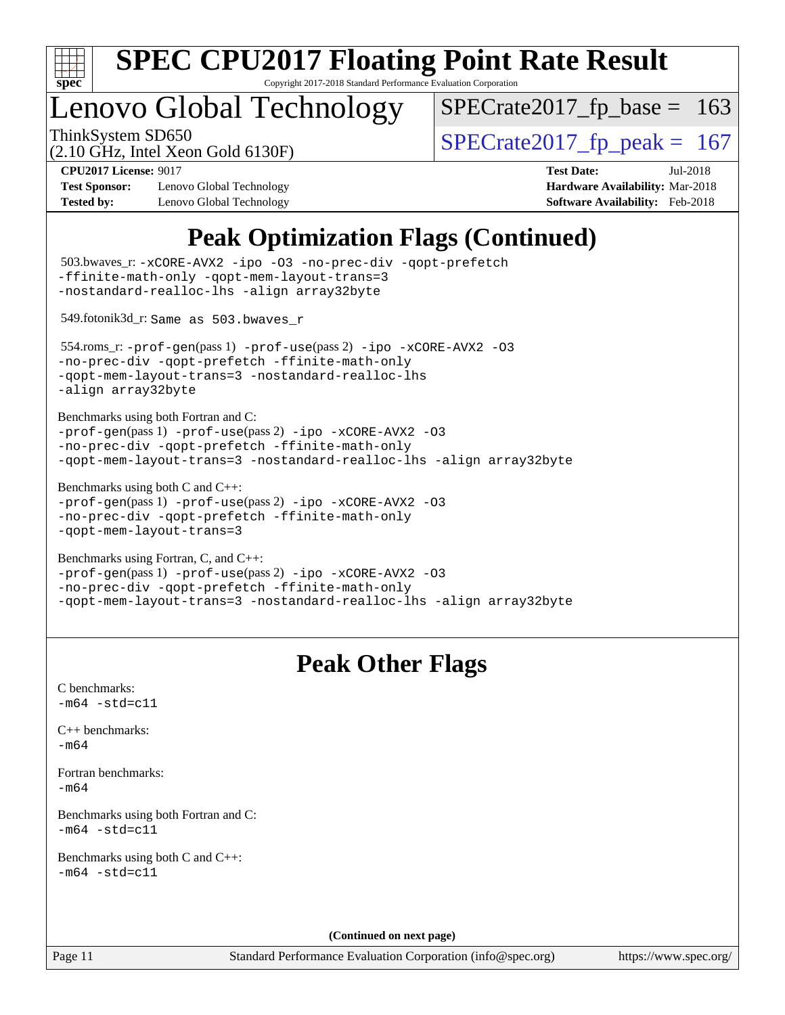

Copyright 2017-2018 Standard Performance Evaluation Corporation

# Lenovo Global Technology

ThinkSystem SD650<br>  $(2.10 \text{ GHz})$  Intel Xeon Gold 6130F)<br> [SPECrate2017\\_fp\\_peak =](http://www.spec.org/auto/cpu2017/Docs/result-fields.html#SPECrate2017fppeak) 167

 $SPECTate2017_fp\_base = 163$ 

(2.10 GHz, Intel Xeon Gold 6130F)

**[Test Sponsor:](http://www.spec.org/auto/cpu2017/Docs/result-fields.html#TestSponsor)** Lenovo Global Technology **[Hardware Availability:](http://www.spec.org/auto/cpu2017/Docs/result-fields.html#HardwareAvailability)** Mar-2018 **[Tested by:](http://www.spec.org/auto/cpu2017/Docs/result-fields.html#Testedby)** Lenovo Global Technology **[Software Availability:](http://www.spec.org/auto/cpu2017/Docs/result-fields.html#SoftwareAvailability)** Feb-2018

**[CPU2017 License:](http://www.spec.org/auto/cpu2017/Docs/result-fields.html#CPU2017License)** 9017 **[Test Date:](http://www.spec.org/auto/cpu2017/Docs/result-fields.html#TestDate)** Jul-2018

# **[Peak Optimization Flags \(Continued\)](http://www.spec.org/auto/cpu2017/Docs/result-fields.html#PeakOptimizationFlags)**

| -ffinite-math-only -qopt-mem-layout-trans=3<br>-nostandard-realloc-lhs -align array32byte                           | 503.bwaves_r: -xCORE-AVX2 -ipo -03 -no-prec-div -qopt-prefetch                                                                  |
|---------------------------------------------------------------------------------------------------------------------|---------------------------------------------------------------------------------------------------------------------------------|
| 549.fotonik3d_r: Same as 503.bwaves_r                                                                               |                                                                                                                                 |
| -no-prec-div -qopt-prefetch -ffinite-math-only<br>-align array32byte                                                | 554.roms_r:-prof-gen(pass 1) -prof-use(pass 2) -ipo -xCORE-AVX2 -03<br>-qopt-mem-layout-trans=3 -nostandard-realloc-lhs         |
| Benchmarks using both Fortran and C:<br>-no-prec-div -qopt-prefetch -ffinite-math-only                              | -prof-gen(pass 1) -prof-use(pass 2) -ipo -xCORE-AVX2 -03<br>-qopt-mem-layout-trans=3 -nostandard-realloc-lhs -align array32byte |
| Benchmarks using both $C$ and $C++$ :<br>-no-prec-div -qopt-prefetch -ffinite-math-only<br>-qopt-mem-layout-trans=3 | -prof-gen(pass 1) -prof-use(pass 2) -ipo -xCORE-AVX2 -03                                                                        |
| Benchmarks using Fortran, C, and C++:<br>-no-prec-div -qopt-prefetch -ffinite-math-only                             | -prof-gen(pass 1) -prof-use(pass 2) -ipo -xCORE-AVX2 -03<br>-qopt-mem-layout-trans=3 -nostandard-realloc-lhs -align array32byte |
|                                                                                                                     | <b>Peak Other Flags</b>                                                                                                         |
| C benchmarks:<br>$-m64 - std= c11$                                                                                  |                                                                                                                                 |
| C++ benchmarks:<br>$-m64$                                                                                           |                                                                                                                                 |
| Fortran benchmarks:<br>$-m64$                                                                                       |                                                                                                                                 |
| Benchmarks using both Fortran and C:<br>$-m64$ $-std=c11$                                                           |                                                                                                                                 |
| Benchmarks using both C and C++:<br>$-m64 - std= c11$                                                               |                                                                                                                                 |
|                                                                                                                     |                                                                                                                                 |
|                                                                                                                     | (Continued on next page)                                                                                                        |
| Page 11                                                                                                             | Standard Performance Evaluation Corporation (info@spec.org)                                                                     |

<https://www.spec.org/>